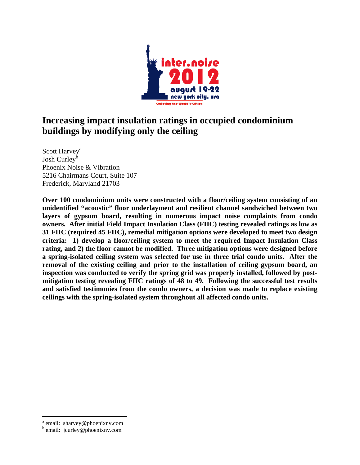

# **Increasing impact insulation ratings in occupied condominium buildings by modifying only the ceiling**

Scott Harvey<sup>a</sup> Josh Curley<sup>b</sup> Phoenix Noise & Vibration 5216 Chairmans Court, Suite 107 Frederick, Maryland 21703

**Over 100 condominium units were constructed with a floor/ceiling system consisting of an unidentified "acoustic" floor underlayment and resilient channel sandwiched between two layers of gypsum board, resulting in numerous impact noise complaints from condo owners. After initial Field Impact Insulation Class (FIIC) testing revealed ratings as low as 31 FIIC (required 45 FIIC), remedial mitigation options were developed to meet two design criteria: 1) develop a floor/ceiling system to meet the required Impact Insulation Class rating, and 2) the floor cannot be modified. Three mitigation options were designed before a spring-isolated ceiling system was selected for use in three trial condo units. After the removal of the existing ceiling and prior to the installation of ceiling gypsum board, an inspection was conducted to verify the spring grid was properly installed, followed by postmitigation testing revealing FIIC ratings of 48 to 49. Following the successful test results and satisfied testimonies from the condo owners, a decision was made to replace existing ceilings with the spring-isolated system throughout all affected condo units.** 

 $\overline{a}$ 

<sup>&</sup>lt;sup>a</sup> email: sharvey@phoenixnv.com

b email: jcurley@phoenixnv.com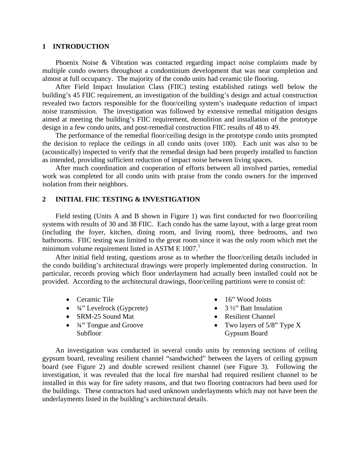#### **1 INTRODUCTION**

Phoenix Noise & Vibration was contacted regarding impact noise complaints made by multiple condo owners throughout a condominium development that was near completion and almost at full occupancy. The majority of the condo units had ceramic tile flooring.

After Field Impact Insulation Class (FIIC) testing established ratings well below the building's 45 FIIC requirement, an investigation of the building's design and actual construction revealed two factors responsible for the floor/ceiling system's inadequate reduction of impact noise transmission. The investigation was followed by extensive remedial mitigation designs aimed at meeting the building's FIIC requirement, demolition and installation of the prototype design in a few condo units, and post-remedial construction FIIC results of 48 to 49.

The performance of the remedial floor/ceiling design in the prototype condo units prompted the decision to replace the ceilings in all condo units (over 100). Each unit was also to be (acoustically) inspected to verify that the remedial design had been properly installed to function as intended, providing sufficient reduction of impact noise between living spaces.

After much coordination and cooperation of efforts between all involved parties, remedial work was completed for all condo units with praise from the condo owners for the improved isolation from their neighbors.

### **2 INITIAL FIIC TESTING & INVESTIGATION**

Field testing (Units A and B shown in Figure 1) was first conducted for two floor/ceiling systems with results of 30 and 38 FIIC. Each condo has the same layout, with a large great room (including the foyer, kitchen, dining room, and living room), three bedrooms, and two bathrooms. FIIC testing was limited to the great room since it was the only room which met the minimum volume requirement listed in ASTM E  $1007<sup>1</sup>$ 

After initial field testing, questions arose as to whether the floor/ceiling details included in the condo building's architectural drawings were properly implemented during construction. In particular, records proving which floor underlayment had actually been installed could not be provided. According to the architectural drawings, floor/ceiling partitions were to consist of:

- Ceramic Tile
- <sup>3</sup>/4" Levelrock (Gypcrete)
- SRM-25 Sound Mat
- <sup>3</sup>/<sub>4</sub>" Tongue and Groove Subfloor
- 16" Wood Joists
- $\bullet$  3 ½" Batt Insulation
- Resilient Channel
- Two layers of  $5/8$ " Type X Gypsum Board

An investigation was conducted in several condo units by removing sections of ceiling gypsum board, revealing resilient channel "sandwiched" between the layers of ceiling gypsum board (see Figure 2) and double screwed resilient channel (see Figure 3). Following the investigation, it was revealed that the local fire marshal had required resilient channel to be installed in this way for fire safety reasons, and that two flooring contractors had been used for the buildings. These contractors had used unknown underlayments which may not have been the underlayments listed in the building's architectural details.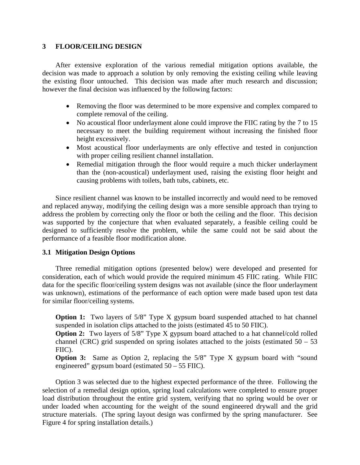## **3 FLOOR/CEILING DESIGN**

After extensive exploration of the various remedial mitigation options available, the decision was made to approach a solution by only removing the existing ceiling while leaving the existing floor untouched. This decision was made after much research and discussion; however the final decision was influenced by the following factors:

- Removing the floor was determined to be more expensive and complex compared to complete removal of the ceiling.
- No acoustical floor underlayment alone could improve the FIIC rating by the 7 to 15 necessary to meet the building requirement without increasing the finished floor height excessively.
- Most acoustical floor underlayments are only effective and tested in conjunction with proper ceiling resilient channel installation.
- Remedial mitigation through the floor would require a much thicker underlayment than the (non-acoustical) underlayment used, raising the existing floor height and causing problems with toilets, bath tubs, cabinets, etc.

Since resilient channel was known to be installed incorrectly and would need to be removed and replaced anyway, modifying the ceiling design was a more sensible approach than trying to address the problem by correcting only the floor or both the ceiling and the floor. This decision was supported by the conjecture that when evaluated separately, a feasible ceiling could be designed to sufficiently resolve the problem, while the same could not be said about the performance of a feasible floor modification alone.

## **3.1 Mitigation Design Options**

Three remedial mitigation options (presented below) were developed and presented for consideration, each of which would provide the required minimum 45 FIIC rating. While FIIC data for the specific floor/ceiling system designs was not available (since the floor underlayment was unknown), estimations of the performance of each option were made based upon test data for similar floor/ceiling systems.

**Option 1:** Two layers of 5/8" Type X gypsum board suspended attached to hat channel suspended in isolation clips attached to the joists (estimated 45 to 50 FIIC).

**Option 2:** Two layers of 5/8" Type X gypsum board attached to a hat channel/cold rolled channel (CRC) grid suspended on spring isolates attached to the joists (estimated  $50 - 53$ FIIC).

**Option 3:** Same as Option 2, replacing the 5/8" Type X gypsum board with "sound engineered" gypsum board (estimated 50 – 55 FIIC).

Option 3 was selected due to the highest expected performance of the three. Following the selection of a remedial design option, spring load calculations were completed to ensure proper load distribution throughout the entire grid system, verifying that no spring would be over or under loaded when accounting for the weight of the sound engineered drywall and the grid structure materials. (The spring layout design was confirmed by the spring manufacturer. See Figure 4 for spring installation details.)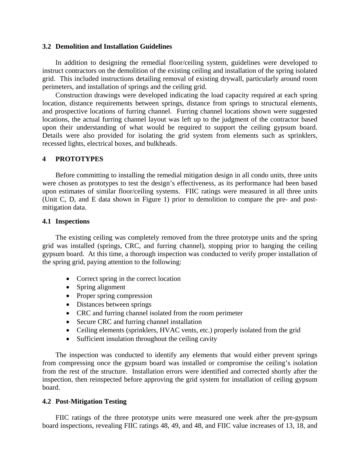#### **3.2 Demolition and Installation Guidelines**

In addition to designing the remedial floor/ceiling system, guidelines were developed to instruct contractors on the demolition of the existing ceiling and installation of the spring isolated grid. This included instructions detailing removal of existing drywall, particularly around room perimeters, and installation of springs and the ceiling grid.

Construction drawings were developed indicating the load capacity required at each spring location, distance requirements between springs, distance from springs to structural elements, and prospective locations of furring channel. Furring channel locations shown were suggested locations, the actual furring channel layout was left up to the judgment of the contractor based upon their understanding of what would be required to support the ceiling gypsum board. Details were also provided for isolating the grid system from elements such as sprinklers, recessed lights, electrical boxes, and bulkheads.

## **4 PROTOTYPES**

Before committing to installing the remedial mitigation design in all condo units, three units were chosen as prototypes to test the design's effectiveness, as its performance had been based upon estimates of similar floor/ceiling systems. FIIC ratings were measured in all three units (Unit C, D, and E data shown in Figure 1) prior to demolition to compare the pre- and postmitigation data.

### **4.1 Inspections**

The existing ceiling was completely removed from the three prototype units and the spring grid was installed (springs, CRC, and furring channel), stopping prior to hanging the ceiling gypsum board. At this time, a thorough inspection was conducted to verify proper installation of the spring grid, paying attention to the following:

- Correct spring in the correct location
- Spring alignment
- Proper spring compression
- Distances between springs
- CRC and furring channel isolated from the room perimeter
- Secure CRC and furring channel installation
- Ceiling elements (sprinklers, HVAC vents, etc.) properly isolated from the grid
- Sufficient insulation throughout the ceiling cavity

The inspection was conducted to identify any elements that would either prevent springs from compressing once the gypsum board was installed or compromise the ceiling's isolation from the rest of the structure. Installation errors were identified and corrected shortly after the inspection, then reinspected before approving the grid system for installation of ceiling gypsum board.

## **4.2 Post-Mitigation Testing**

FIIC ratings of the three prototype units were measured one week after the pre-gypsum board inspections, revealing FIIC ratings 48, 49, and 48, and FIIC value increases of 13, 18, and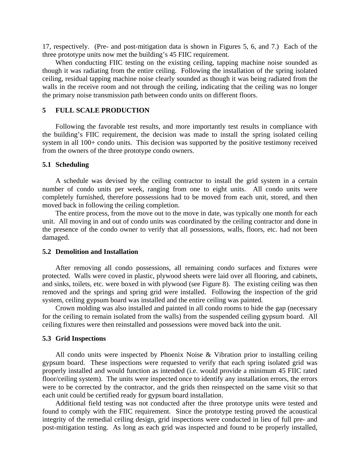17, respectively. (Pre- and post-mitigation data is shown in Figures 5, 6, and 7.) Each of the three prototype units now met the building's 45 FIIC requirement.

When conducting FIIC testing on the existing ceiling, tapping machine noise sounded as though it was radiating from the entire ceiling. Following the installation of the spring isolated ceiling, residual tapping machine noise clearly sounded as though it was being radiated from the walls in the receive room and not through the ceiling, indicating that the ceiling was no longer the primary noise transmission path between condo units on different floors.

## **5 FULL SCALE PRODUCTION**

Following the favorable test results, and more importantly test results in compliance with the building's FIIC requirement, the decision was made to install the spring isolated ceiling system in all 100+ condo units. This decision was supported by the positive testimony received from the owners of the three prototype condo owners.

### **5.1 Scheduling**

A schedule was devised by the ceiling contractor to install the grid system in a certain number of condo units per week, ranging from one to eight units. All condo units were completely furnished, therefore possessions had to be moved from each unit, stored, and then moved back in following the ceiling completion.

The entire process, from the move out to the move in date, was typically one month for each unit. All moving in and out of condo units was coordinated by the ceiling contractor and done in the presence of the condo owner to verify that all possessions, walls, floors, etc. had not been damaged.

## **5.2 Demolition and Installation**

After removing all condo possessions, all remaining condo surfaces and fixtures were protected. Walls were coved in plastic, plywood sheets were laid over all flooring, and cabinets, and sinks, toilets, etc. were boxed in with plywood (see Figure 8). The existing ceiling was then removed and the springs and spring grid were installed. Following the inspection of the grid system, ceiling gypsum board was installed and the entire ceiling was painted.

Crown molding was also installed and painted in all condo rooms to hide the gap (necessary for the ceiling to remain isolated from the walls) from the suspended ceiling gypsum board. All ceiling fixtures were then reinstalled and possessions were moved back into the unit.

#### **5.3 Grid Inspections**

All condo units were inspected by Phoenix Noise & Vibration prior to installing ceiling gypsum board. These inspections were requested to verify that each spring isolated grid was properly installed and would function as intended (i.e. would provide a minimum 45 FIIC rated floor/ceiling system). The units were inspected once to identify any installation errors, the errors were to be corrected by the contractor, and the grids then reinspected on the same visit so that each unit could be certified ready for gypsum board installation.

Additional field testing was not conducted after the three prototype units were tested and found to comply with the FIIC requirement. Since the prototype testing proved the acoustical integrity of the remedial ceiling design, grid inspections were conducted in lieu of full pre- and post-mitigation testing. As long as each grid was inspected and found to be properly installed,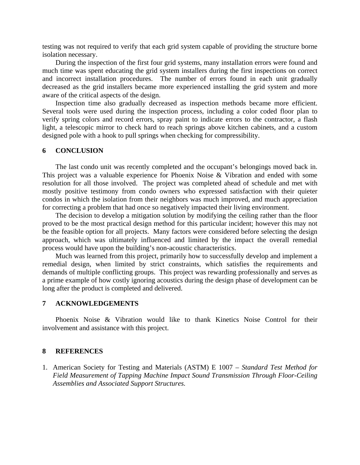testing was not required to verify that each grid system capable of providing the structure borne isolation necessary.

During the inspection of the first four grid systems, many installation errors were found and much time was spent educating the grid system installers during the first inspections on correct and incorrect installation procedures. The number of errors found in each unit gradually decreased as the grid installers became more experienced installing the grid system and more aware of the critical aspects of the design.

Inspection time also gradually decreased as inspection methods became more efficient. Several tools were used during the inspection process, including a color coded floor plan to verify spring colors and record errors, spray paint to indicate errors to the contractor, a flash light, a telescopic mirror to check hard to reach springs above kitchen cabinets, and a custom designed pole with a hook to pull springs when checking for compressibility.

#### **6 CONCLUSION**

The last condo unit was recently completed and the occupant's belongings moved back in. This project was a valuable experience for Phoenix Noise & Vibration and ended with some resolution for all those involved. The project was completed ahead of schedule and met with mostly positive testimony from condo owners who expressed satisfaction with their quieter condos in which the isolation from their neighbors was much improved, and much appreciation for correcting a problem that had once so negatively impacted their living environment.

The decision to develop a mitigation solution by modifying the ceiling rather than the floor proved to be the most practical design method for this particular incident; however this may not be the feasible option for all projects. Many factors were considered before selecting the design approach, which was ultimately influenced and limited by the impact the overall remedial process would have upon the building's non-acoustic characteristics.

Much was learned from this project, primarily how to successfully develop and implement a remedial design, when limited by strict constraints, which satisfies the requirements and demands of multiple conflicting groups. This project was rewarding professionally and serves as a prime example of how costly ignoring acoustics during the design phase of development can be long after the product is completed and delivered.

## **7 ACKNOWLEDGEMENTS**

Phoenix Noise & Vibration would like to thank Kinetics Noise Control for their involvement and assistance with this project.

#### **8 REFERENCES**

1. American Society for Testing and Materials (ASTM) E 1007 – *Standard Test Method for Field Measurement of Tapping Machine Impact Sound Transmission Through Floor-Ceiling Assemblies and Associated Support Structures.*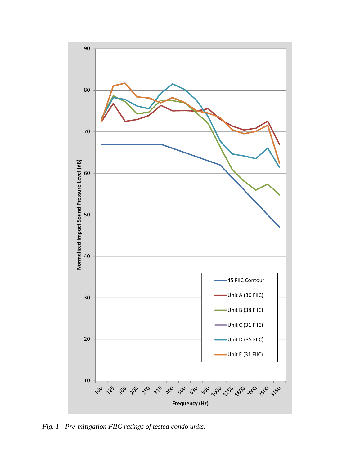

*Fig. 1 - Pre-mitigation FIIC ratings of tested condo units.*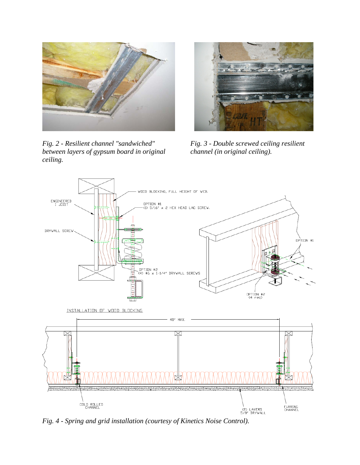

*Fig. 2 - Resilient channel "sandwiched" between layers of gypsum board in original ceiling.* 



*Fig. 3 - Double screwed ceiling resilient channel (in original ceiling).* 



*Fig. 4 - Spring and grid installation (courtesy of Kinetics Noise Control).*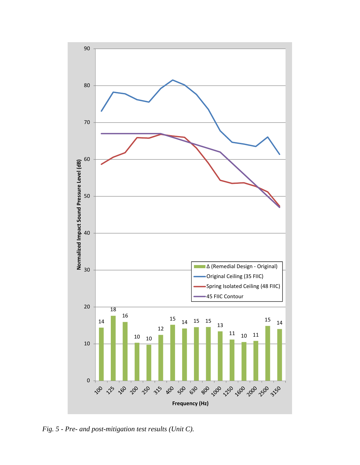

*Fig. 5 - Pre- and post-mitigation test results (Unit C).*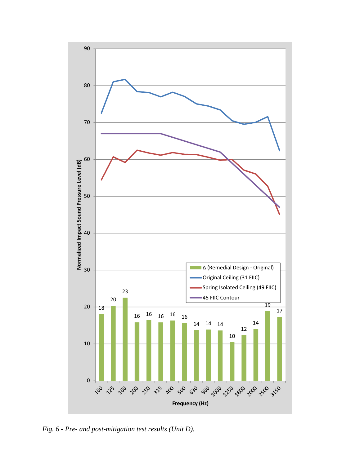

*Fig. 6 - Pre- and post-mitigation test results (Unit D).*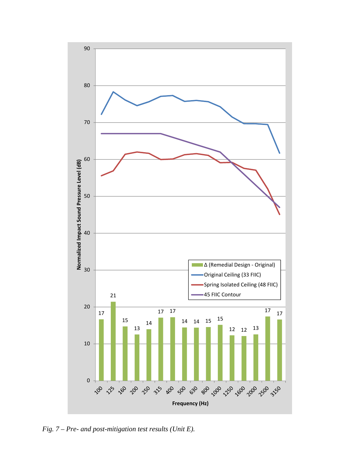

*Fig. 7 – Pre- and post-mitigation test results (Unit E).*